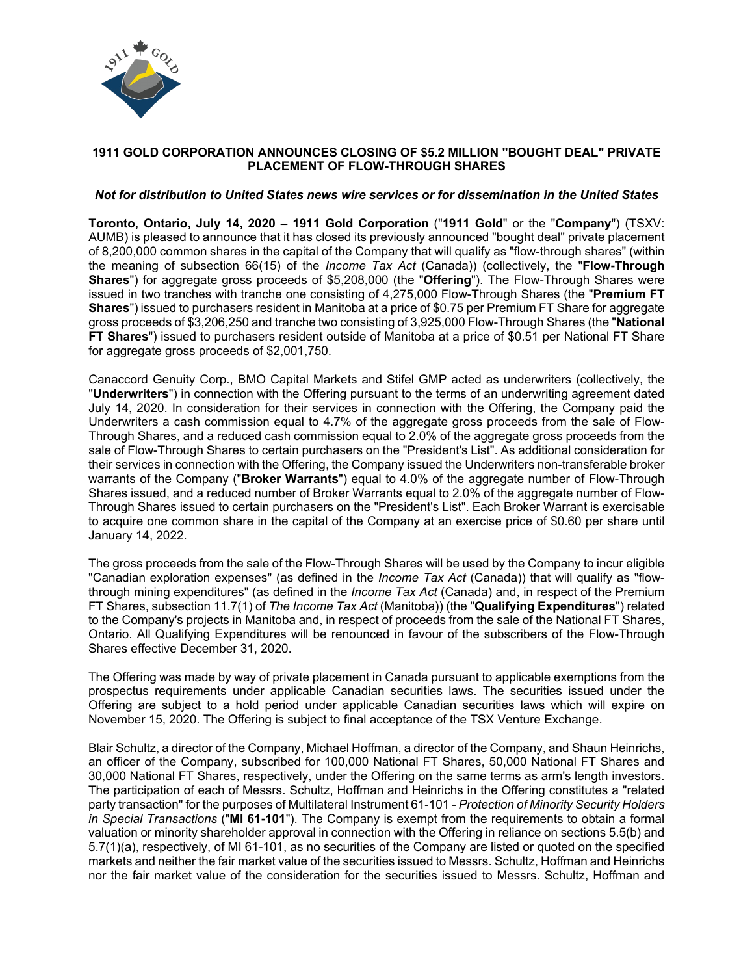

# **1911 GOLD CORPORATION ANNOUNCES CLOSING OF \$5.2 MILLION "BOUGHT DEAL" PRIVATE PLACEMENT OF FLOW-THROUGH SHARES**

### *Not for distribution to United States news wire services or for dissemination in the United States*

**Toronto, Ontario, July 14, 2020 – 1911 Gold Corporation** ("**1911 Gold**" or the "**Company**") (TSXV: AUMB) is pleased to announce that it has closed its previously announced "bought deal" private placement of 8,200,000 common shares in the capital of the Company that will qualify as "flow-through shares" (within the meaning of subsection 66(15) of the *Income Tax Act* (Canada)) (collectively, the "**Flow-Through Shares**") for aggregate gross proceeds of \$5,208,000 (the "**Offering**"). The Flow-Through Shares were issued in two tranches with tranche one consisting of 4,275,000 Flow-Through Shares (the "**Premium FT Shares**") issued to purchasers resident in Manitoba at a price of \$0.75 per Premium FT Share for aggregate gross proceeds of \$3,206,250 and tranche two consisting of 3,925,000 Flow-Through Shares (the "**National FT Shares**") issued to purchasers resident outside of Manitoba at a price of \$0.51 per National FT Share for aggregate gross proceeds of \$2,001,750.

Canaccord Genuity Corp., BMO Capital Markets and Stifel GMP acted as underwriters (collectively, the "**Underwriters**") in connection with the Offering pursuant to the terms of an underwriting agreement dated July 14, 2020. In consideration for their services in connection with the Offering, the Company paid the Underwriters a cash commission equal to 4.7% of the aggregate gross proceeds from the sale of Flow-Through Shares, and a reduced cash commission equal to 2.0% of the aggregate gross proceeds from the sale of Flow-Through Shares to certain purchasers on the "President's List". As additional consideration for their services in connection with the Offering, the Company issued the Underwriters non-transferable broker warrants of the Company ("**Broker Warrants**") equal to 4.0% of the aggregate number of Flow-Through Shares issued, and a reduced number of Broker Warrants equal to 2.0% of the aggregate number of Flow-Through Shares issued to certain purchasers on the "President's List". Each Broker Warrant is exercisable to acquire one common share in the capital of the Company at an exercise price of \$0.60 per share until January 14, 2022.

The gross proceeds from the sale of the Flow-Through Shares will be used by the Company to incur eligible "Canadian exploration expenses" (as defined in the *Income Tax Act* (Canada)) that will qualify as "flowthrough mining expenditures" (as defined in the *Income Tax Act* (Canada) and, in respect of the Premium FT Shares, subsection 11.7(1) of *The Income Tax Act* (Manitoba)) (the "**Qualifying Expenditures**") related to the Company's projects in Manitoba and, in respect of proceeds from the sale of the National FT Shares, Ontario. All Qualifying Expenditures will be renounced in favour of the subscribers of the Flow-Through Shares effective December 31, 2020.

The Offering was made by way of private placement in Canada pursuant to applicable exemptions from the prospectus requirements under applicable Canadian securities laws. The securities issued under the Offering are subject to a hold period under applicable Canadian securities laws which will expire on November 15, 2020. The Offering is subject to final acceptance of the TSX Venture Exchange.

Blair Schultz, a director of the Company, Michael Hoffman, a director of the Company, and Shaun Heinrichs, an officer of the Company, subscribed for 100,000 National FT Shares, 50,000 National FT Shares and 30,000 National FT Shares, respectively, under the Offering on the same terms as arm's length investors. The participation of each of Messrs. Schultz, Hoffman and Heinrichs in the Offering constitutes a "related party transaction" for the purposes of Multilateral Instrument 61-101 - *Protection of Minority Security Holders in Special Transactions* ("**MI 61-101**"). The Company is exempt from the requirements to obtain a formal valuation or minority shareholder approval in connection with the Offering in reliance on sections 5.5(b) and 5.7(1)(a), respectively, of MI 61-101, as no securities of the Company are listed or quoted on the specified markets and neither the fair market value of the securities issued to Messrs. Schultz, Hoffman and Heinrichs nor the fair market value of the consideration for the securities issued to Messrs. Schultz, Hoffman and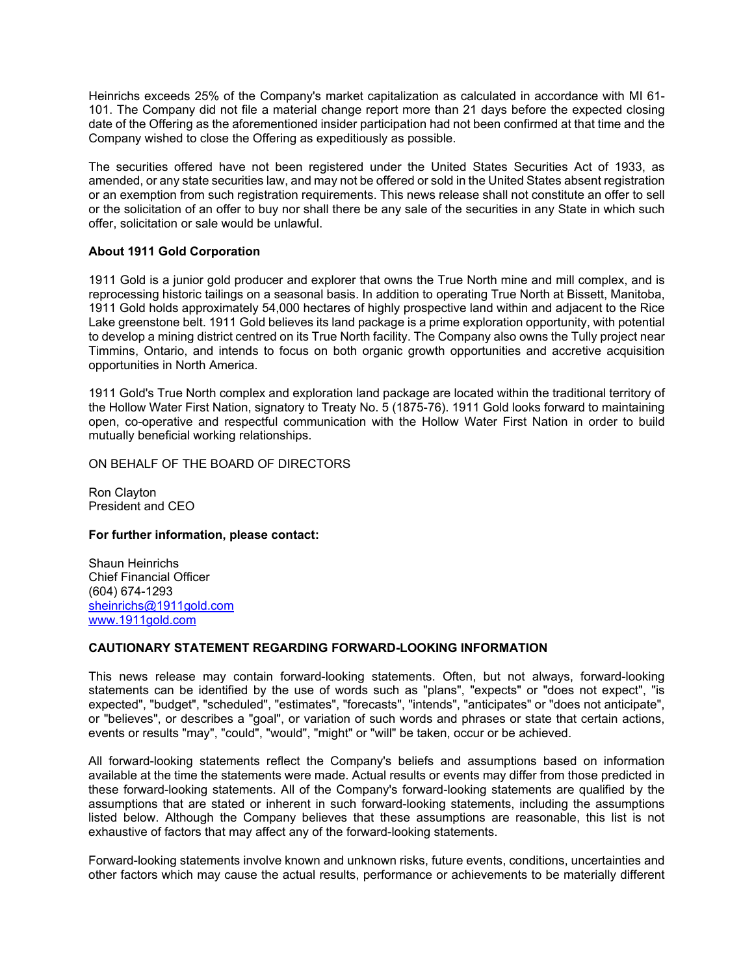Heinrichs exceeds 25% of the Company's market capitalization as calculated in accordance with MI 61- 101. The Company did not file a material change report more than 21 days before the expected closing date of the Offering as the aforementioned insider participation had not been confirmed at that time and the Company wished to close the Offering as expeditiously as possible.

The securities offered have not been registered under the United States Securities Act of 1933, as amended, or any state securities law, and may not be offered or sold in the United States absent registration or an exemption from such registration requirements. This news release shall not constitute an offer to sell or the solicitation of an offer to buy nor shall there be any sale of the securities in any State in which such offer, solicitation or sale would be unlawful.

# **About 1911 Gold Corporation**

1911 Gold is a junior gold producer and explorer that owns the True North mine and mill complex, and is reprocessing historic tailings on a seasonal basis. In addition to operating True North at Bissett, Manitoba, 1911 Gold holds approximately 54,000 hectares of highly prospective land within and adjacent to the Rice Lake greenstone belt. 1911 Gold believes its land package is a prime exploration opportunity, with potential to develop a mining district centred on its True North facility. The Company also owns the Tully project near Timmins, Ontario, and intends to focus on both organic growth opportunities and accretive acquisition opportunities in North America.

1911 Gold's True North complex and exploration land package are located within the traditional territory of the Hollow Water First Nation, signatory to Treaty No. 5 (1875-76). 1911 Gold looks forward to maintaining open, co-operative and respectful communication with the Hollow Water First Nation in order to build mutually beneficial working relationships.

ON BEHALF OF THE BOARD OF DIRECTORS

Ron Clayton President and CEO

### **For further information, please contact:**

Shaun Heinrichs Chief Financial Officer (604) 674-1293 [sheinrichs@1911gold.com](mailto:sheinrichs@1911gold.com) [www.1911gold.com](http://www.1911gold.com/)

### **CAUTIONARY STATEMENT REGARDING FORWARD-LOOKING INFORMATION**

This news release may contain forward-looking statements. Often, but not always, forward-looking statements can be identified by the use of words such as "plans", "expects" or "does not expect", "is expected", "budget", "scheduled", "estimates", "forecasts", "intends", "anticipates" or "does not anticipate", or "believes", or describes a "goal", or variation of such words and phrases or state that certain actions, events or results "may", "could", "would", "might" or "will" be taken, occur or be achieved.

All forward-looking statements reflect the Company's beliefs and assumptions based on information available at the time the statements were made. Actual results or events may differ from those predicted in these forward-looking statements. All of the Company's forward-looking statements are qualified by the assumptions that are stated or inherent in such forward-looking statements, including the assumptions listed below. Although the Company believes that these assumptions are reasonable, this list is not exhaustive of factors that may affect any of the forward-looking statements.

Forward-looking statements involve known and unknown risks, future events, conditions, uncertainties and other factors which may cause the actual results, performance or achievements to be materially different